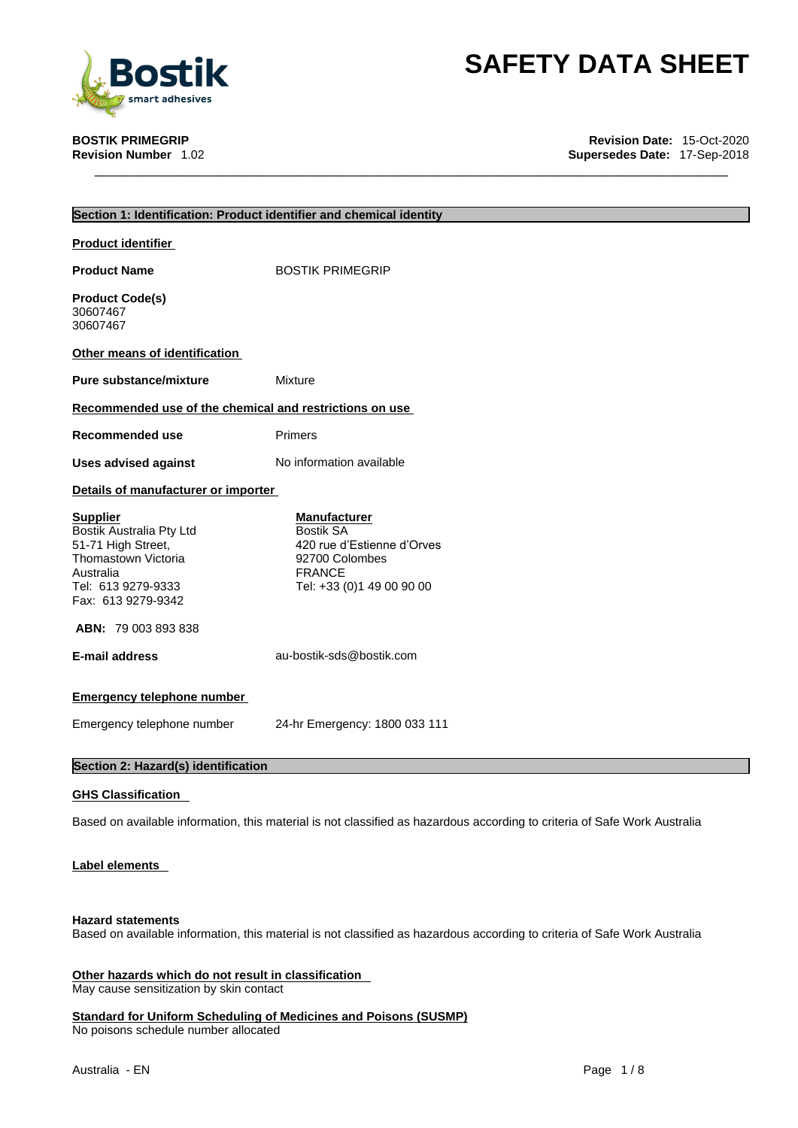

**BOSTIK PRIMEGRIP Revision Date:** 15-Oct-2020 **Supersedes Date: 17-Sep-2018** 

|                                                                                                                                                   | Section 1: Identification: Product identifier and chemical identity                                                                   |
|---------------------------------------------------------------------------------------------------------------------------------------------------|---------------------------------------------------------------------------------------------------------------------------------------|
| <b>Product identifier</b>                                                                                                                         |                                                                                                                                       |
| <b>Product Name</b>                                                                                                                               | <b>BOSTIK PRIMEGRIP</b>                                                                                                               |
| <b>Product Code(s)</b><br>30607467<br>30607467                                                                                                    |                                                                                                                                       |
| Other means of identification                                                                                                                     |                                                                                                                                       |
| <b>Pure substance/mixture</b>                                                                                                                     | Mixture                                                                                                                               |
| Recommended use of the chemical and restrictions on use                                                                                           |                                                                                                                                       |
| <b>Recommended use</b>                                                                                                                            | <b>Primers</b>                                                                                                                        |
| <b>Uses advised against</b>                                                                                                                       | No information available                                                                                                              |
| Details of manufacturer or importer                                                                                                               |                                                                                                                                       |
| <b>Supplier</b><br>Bostik Australia Pty Ltd<br>51-71 High Street,<br>Thomastown Victoria<br>Australia<br>Tel: 613 9279-9333<br>Fax: 613 9279-9342 | <b>Manufacturer</b><br><b>Bostik SA</b><br>420 rue d'Estienne d'Orves<br>92700 Colombes<br><b>FRANCE</b><br>Tel: +33 (0)1 49 00 90 00 |
| <b>ABN: 79 003 893 838</b>                                                                                                                        |                                                                                                                                       |
| <b>E-mail address</b>                                                                                                                             | au-bostik-sds@bostik.com                                                                                                              |
| <b>Emergency telephone number</b>                                                                                                                 |                                                                                                                                       |
| Emergency telephone number                                                                                                                        | 24-hr Emergency: 1800 033 111                                                                                                         |
| Section 2: Hazard(s) identification                                                                                                               |                                                                                                                                       |
| <b>GHS Classification</b>                                                                                                                         |                                                                                                                                       |
|                                                                                                                                                   | Based on available information, this material is not classified as hazardous according to criteria of Safe Work Australia             |

**Label elements** 

### **Hazard statements**

Based on available information, this material is not classified as hazardous according to criteria of Safe Work Australia

**Other hazards which do not result in classification** May cause sensitization by skin contact

**Standard for Uniform Scheduling of Medicines and Poisons (SUSMP)** No poisons schedule number allocated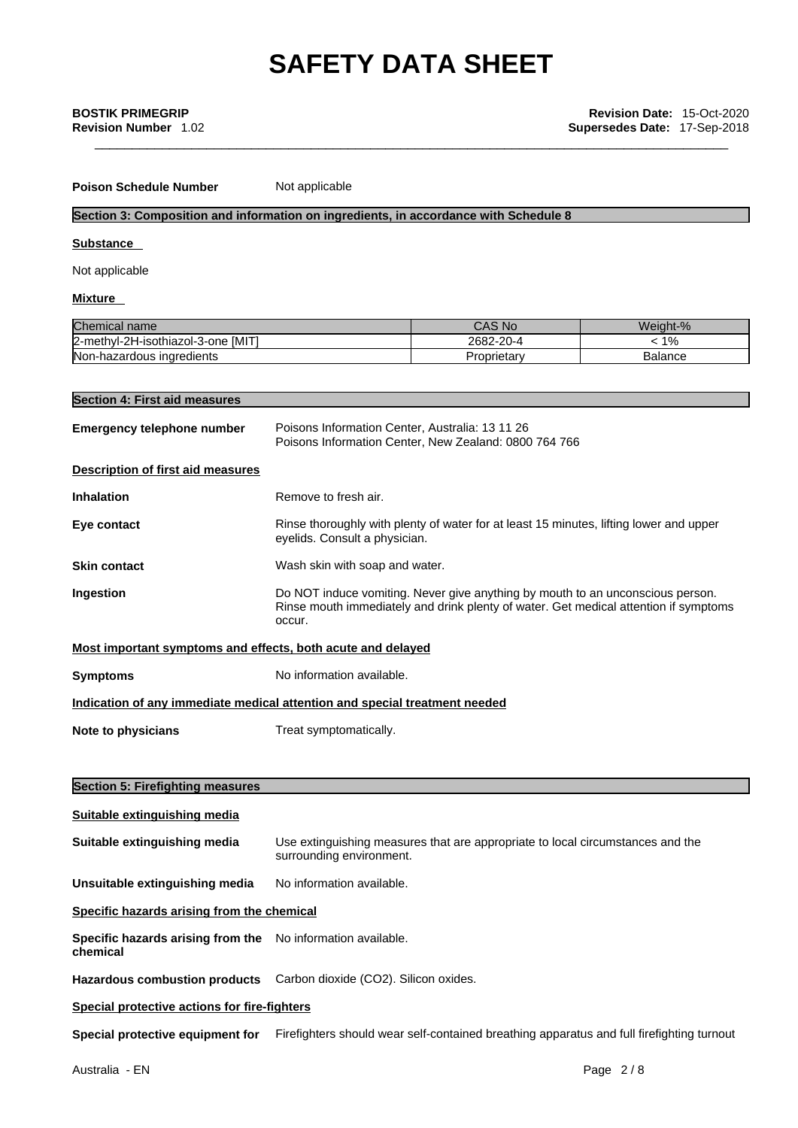**Poison Schedule Number** Not applicable

### **Section 3: Composition and information on ingredients, in accordance with Schedule 8**

### **Substance**

Not applicable

### **Mixture**

| Chemical name                           | CAS No     | Weight-%           |
|-----------------------------------------|------------|--------------------|
| . IMIT'<br>2-methyl-2H-isothiazol-3-one | 2682-20-4  | $40^{\circ}$<br>7٥ |
| Non-hazardous ingredients               | Proprietar | Balance            |

### **Section 4: First aid measures**

| <b>Emergency telephone number</b>                           | Poisons Information Center, Australia: 13 11 26<br>Poisons Information Center, New Zealand: 0800 764 766                                                                         |
|-------------------------------------------------------------|----------------------------------------------------------------------------------------------------------------------------------------------------------------------------------|
| <b>Description of first aid measures</b>                    |                                                                                                                                                                                  |
| <b>Inhalation</b>                                           | Remove to fresh air.                                                                                                                                                             |
| Eye contact                                                 | Rinse thoroughly with plenty of water for at least 15 minutes, lifting lower and upper<br>eyelids. Consult a physician.                                                          |
| <b>Skin contact</b>                                         | Wash skin with soap and water.                                                                                                                                                   |
| Ingestion                                                   | Do NOT induce vomiting. Never give anything by mouth to an unconscious person.<br>Rinse mouth immediately and drink plenty of water. Get medical attention if symptoms<br>occur. |
| Most important symptoms and effects, both acute and delayed |                                                                                                                                                                                  |
| <b>Symptoms</b>                                             | No information available.                                                                                                                                                        |
|                                                             | Indication of any immediate medical attention and special treatment needed                                                                                                       |
| Note to physicians                                          | Treat symptomatically.                                                                                                                                                           |
|                                                             |                                                                                                                                                                                  |
| <b>Section 5: Firefighting measures</b>                     |                                                                                                                                                                                  |
| Suitable extinguishing media                                |                                                                                                                                                                                  |
| Suitable extinguishing media                                | Use extinguishing measures that are appropriate to local circumstances and the<br>surrounding environment.                                                                       |
| Unsuitable extinguishing media                              | No information available.                                                                                                                                                        |
| Specific hazards arising from the chemical                  |                                                                                                                                                                                  |
| Specific hazards arising from the<br>chemical               | No information available.                                                                                                                                                        |
| <b>Hazardous combustion products</b>                        | Carbon dioxide (CO2). Silicon oxides.                                                                                                                                            |
| Special protective actions for fire-fighters                |                                                                                                                                                                                  |
| Special protective equipment for                            | Firefighters should wear self-contained breathing apparatus and full firefighting turnout                                                                                        |
|                                                             |                                                                                                                                                                                  |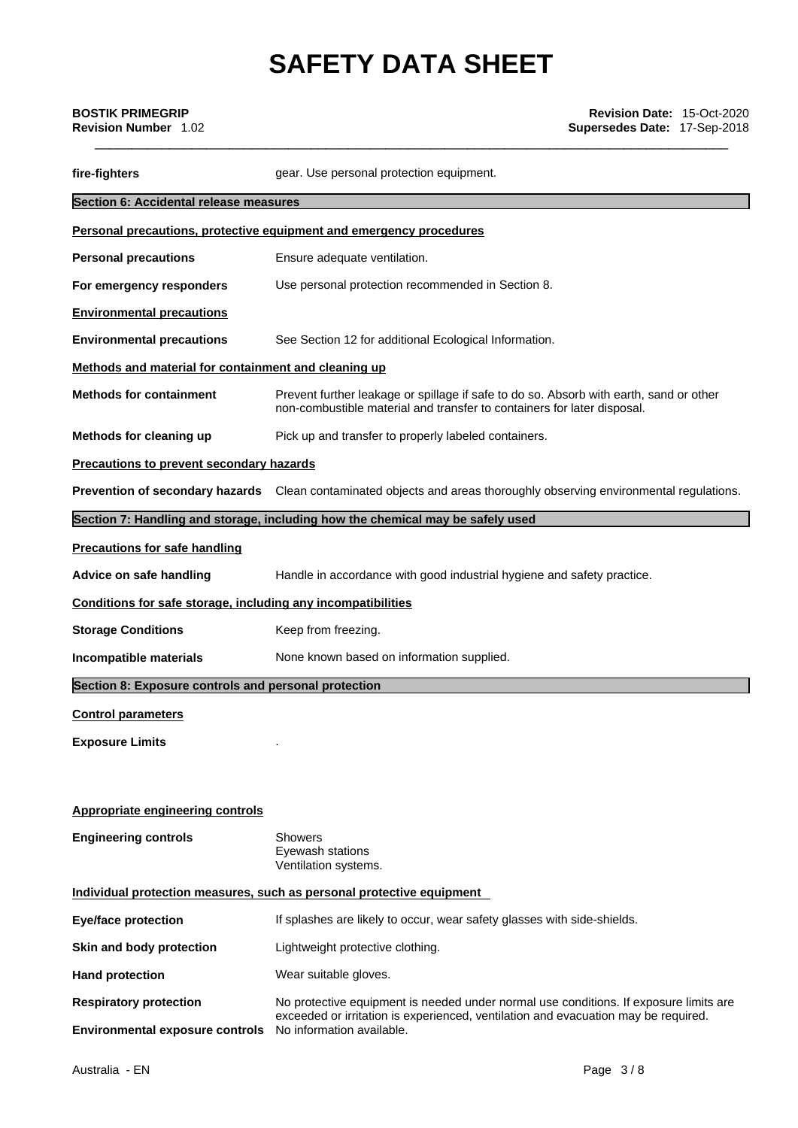| <b>BOSTIK PRIMEGRIP</b><br><b>Revision Number</b> 1.02       | Revision Date: 15-Oct-2020<br>Supersedes Date: 17-Sep-2018                                                                                                        |  |
|--------------------------------------------------------------|-------------------------------------------------------------------------------------------------------------------------------------------------------------------|--|
| fire-fighters                                                | gear. Use personal protection equipment.                                                                                                                          |  |
| Section 6: Accidental release measures                       |                                                                                                                                                                   |  |
|                                                              | Personal precautions, protective equipment and emergency procedures                                                                                               |  |
| <b>Personal precautions</b>                                  | Ensure adequate ventilation.                                                                                                                                      |  |
| For emergency responders                                     | Use personal protection recommended in Section 8.                                                                                                                 |  |
| <b>Environmental precautions</b>                             |                                                                                                                                                                   |  |
| <b>Environmental precautions</b>                             | See Section 12 for additional Ecological Information.                                                                                                             |  |
| Methods and material for containment and cleaning up         |                                                                                                                                                                   |  |
| <b>Methods for containment</b>                               | Prevent further leakage or spillage if safe to do so. Absorb with earth, sand or other<br>non-combustible material and transfer to containers for later disposal. |  |
| Methods for cleaning up                                      | Pick up and transfer to properly labeled containers.                                                                                                              |  |
| <b>Precautions to prevent secondary hazards</b>              |                                                                                                                                                                   |  |
|                                                              | Prevention of secondary hazards Clean contaminated objects and areas thoroughly observing environmental regulations.                                              |  |
|                                                              | Section 7: Handling and storage, including how the chemical may be safely used                                                                                    |  |
| <b>Precautions for safe handling</b>                         |                                                                                                                                                                   |  |
| Advice on safe handling                                      | Handle in accordance with good industrial hygiene and safety practice.                                                                                            |  |
| Conditions for safe storage, including any incompatibilities |                                                                                                                                                                   |  |
| <b>Storage Conditions</b>                                    | Keep from freezing.                                                                                                                                               |  |
| Incompatible materials                                       | None known based on information supplied.                                                                                                                         |  |
| Section 8: Exposure controls and personal protection         |                                                                                                                                                                   |  |
| <b>Control parameters</b>                                    |                                                                                                                                                                   |  |
| <b>Exposure Limits</b>                                       |                                                                                                                                                                   |  |
|                                                              |                                                                                                                                                                   |  |
| <b>Appropriate engineering controls</b>                      |                                                                                                                                                                   |  |
| <b>Engineering controls</b>                                  | Showers<br>Eyewash stations<br>Ventilation systems.                                                                                                               |  |
|                                                              | Individual protection measures, such as personal protective equipment                                                                                             |  |
| <b>Eye/face protection</b>                                   | If splashes are likely to occur, wear safety glasses with side-shields.                                                                                           |  |
| Skin and body protection                                     | Lightweight protective clothing.                                                                                                                                  |  |
| <b>Hand protection</b>                                       | Wear suitable gloves.                                                                                                                                             |  |
| <b>Respiratory protection</b>                                | No protective equipment is needed under normal use conditions. If exposure limits are                                                                             |  |
| <b>Environmental exposure controls</b>                       | exceeded or irritation is experienced, ventilation and evacuation may be required.<br>No information available.                                                   |  |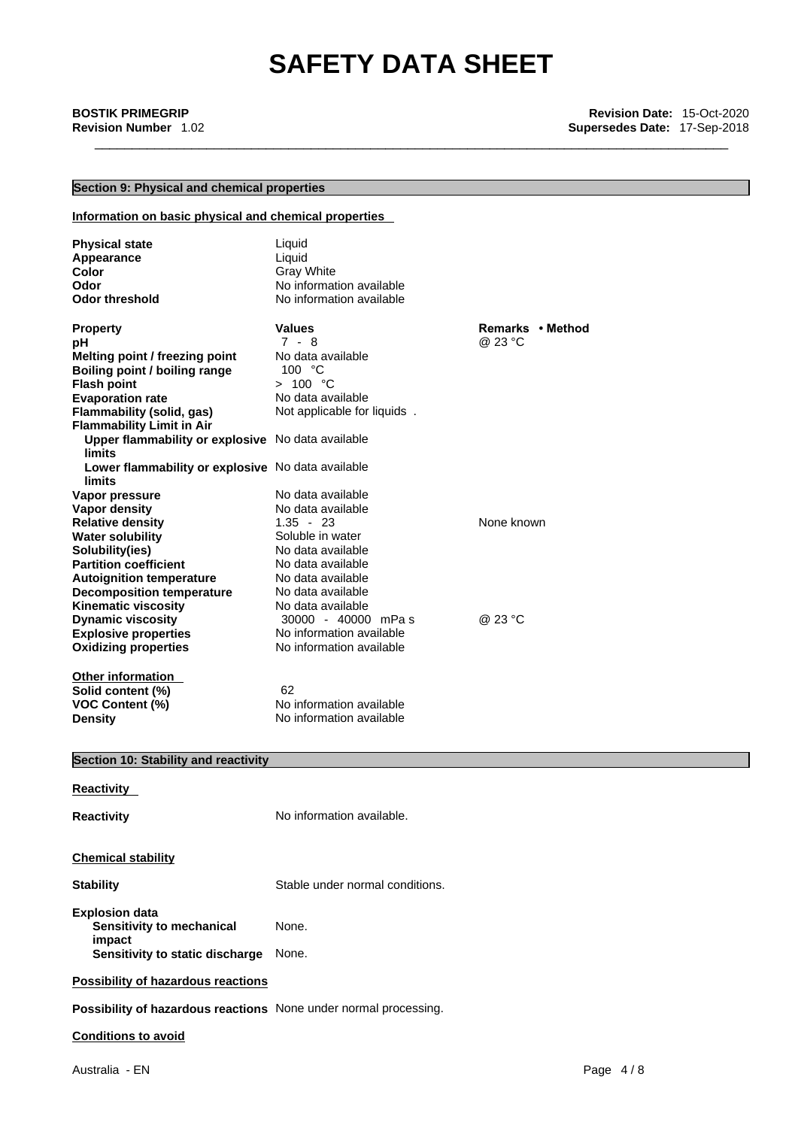### **Section 9: Physical and chemical properties**

### **Information on basic physical and chemical properties**

| <b>Physical state</b><br>Appearance<br>Color<br>Odor<br><b>Odor threshold</b> | Liquid<br>Liquid<br><b>Gray White</b><br>No information available<br>No information available |                  |
|-------------------------------------------------------------------------------|-----------------------------------------------------------------------------------------------|------------------|
| <b>Property</b>                                                               | <b>Values</b>                                                                                 | Remarks • Method |
| pН                                                                            | $7 - 8$                                                                                       | @ 23 °C          |
| Melting point / freezing point                                                | No data available                                                                             |                  |
| Boiling point / boiling range                                                 | 100 °C                                                                                        |                  |
| <b>Flash point</b>                                                            | > 100 °C                                                                                      |                  |
| <b>Evaporation rate</b>                                                       | No data available                                                                             |                  |
| Flammability (solid, gas)                                                     | Not applicable for liquids.                                                                   |                  |
| <b>Flammability Limit in Air</b>                                              |                                                                                               |                  |
| Upper flammability or explosive No data available                             |                                                                                               |                  |
| <b>limits</b>                                                                 |                                                                                               |                  |
| Lower flammability or explosive No data available                             |                                                                                               |                  |
| <b>limits</b>                                                                 |                                                                                               |                  |
| Vapor pressure                                                                | No data available<br>No data available                                                        |                  |
| <b>Vapor density</b>                                                          | $1.35 - 23$                                                                                   | None known       |
| <b>Relative density</b>                                                       | Soluble in water                                                                              |                  |
| <b>Water solubility</b>                                                       | No data available                                                                             |                  |
| Solubility(ies)<br><b>Partition coefficient</b>                               | No data available                                                                             |                  |
|                                                                               | No data available                                                                             |                  |
| <b>Autoignition temperature</b>                                               | No data available                                                                             |                  |
| <b>Decomposition temperature</b><br><b>Kinematic viscosity</b>                | No data available                                                                             |                  |
| <b>Dynamic viscosity</b>                                                      | 30000 - 40000 mPas                                                                            | @ 23 °C          |
| <b>Explosive properties</b>                                                   | No information available                                                                      |                  |
| <b>Oxidizing properties</b>                                                   | No information available                                                                      |                  |
|                                                                               |                                                                                               |                  |
| <b>Other information</b>                                                      |                                                                                               |                  |
| Solid content (%)                                                             | 62                                                                                            |                  |
| <b>VOC Content (%)</b>                                                        | No information available                                                                      |                  |
| <b>Density</b>                                                                | No information available                                                                      |                  |
|                                                                               |                                                                                               |                  |
|                                                                               |                                                                                               |                  |
| Section 10: Stability and reactivity                                          |                                                                                               |                  |
| Reactivity                                                                    |                                                                                               |                  |

**Reactivity No information available.** 

### **Chemical stability**

| <b>Stability</b> | Stable under normal conditions. |
|------------------|---------------------------------|
|                  |                                 |

**Explosion data Sensitivity to mechanical impact**  None. **Sensitivity to static discharge** None.

### **Possibility of hazardous reactions**

**Possibility of hazardous reactions** None under normal processing.

### **Conditions to avoid**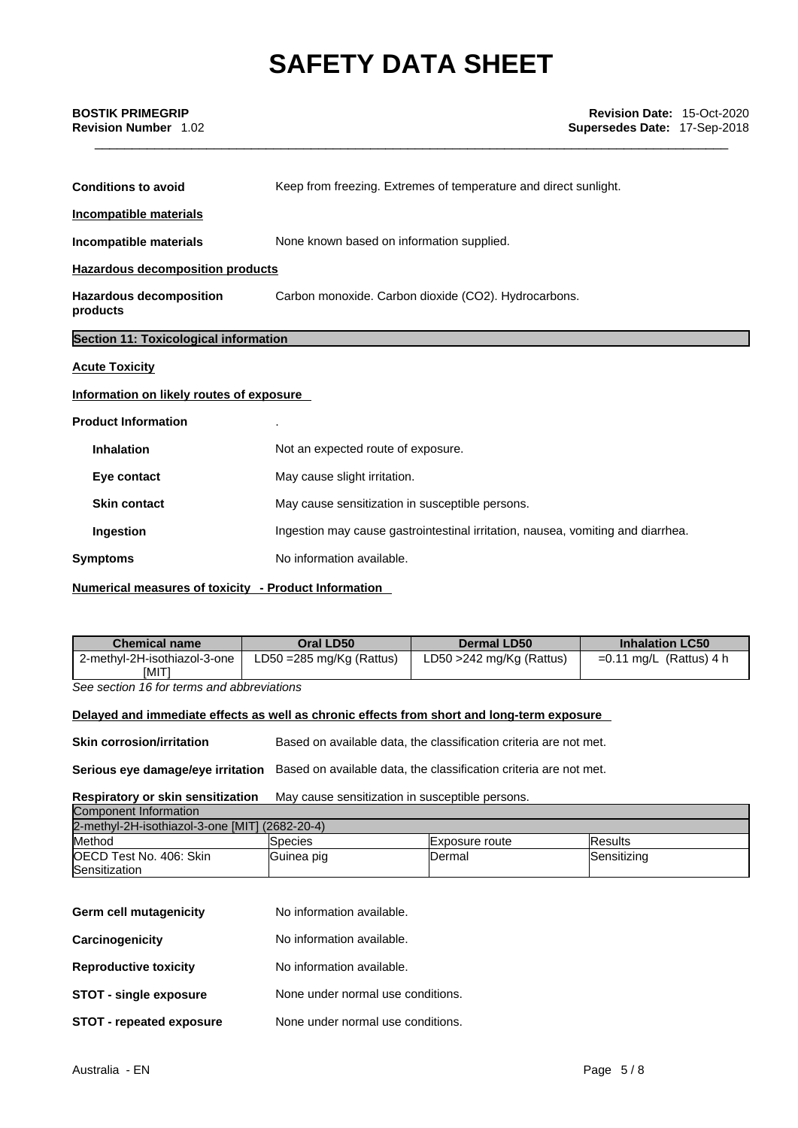| <b>BOSTIK PRIMEGRIP</b><br><b>Revision Number 1.02</b> | <b>Revision Date: 15-Oct-2020</b><br><b>Supersedes Date: 17-Sep-2018</b> |
|--------------------------------------------------------|--------------------------------------------------------------------------|
| <b>Conditions to avoid</b>                             | Keep from freezing. Extremes of temperature and direct sunlight.         |
| Incompatible materials                                 |                                                                          |
| Incompatible materials                                 | None known based on information supplied.                                |

**Hazardous decomposition products**

**Hazardous decomposition products**  Carbon monoxide. Carbon dioxide (CO2). Hydrocarbons.

## **Section 11: Toxicological information**

### **Acute Toxicity**

### **Information on likely routes of exposure**

### **Product Information** .

| <b>Inhalation</b>   | Not an expected route of exposure.                                              |
|---------------------|---------------------------------------------------------------------------------|
| Eye contact         | May cause slight irritation.                                                    |
| <b>Skin contact</b> | May cause sensitization in susceptible persons.                                 |
| Ingestion           | Ingestion may cause gastrointestinal irritation, nausea, vomiting and diarrhea. |
| <b>Symptoms</b>     | No information available.                                                       |
|                     |                                                                                 |

### **Numerical measures of toxicity - Product Information**

| <b>Chemical name</b>         | Oral LD50                           | <b>Dermal LD50</b>          | <b>Inhalation LC50</b>    |
|------------------------------|-------------------------------------|-----------------------------|---------------------------|
| 2-methyl-2H-isothiazol-3-one | LD50 = $285 \text{ mg/Kg}$ (Rattus) | LD50 $>$ 242 mg/Kg (Rattus) | $=0.11$ mg/L (Rattus) 4 h |
| <b>IMITI</b>                 |                                     |                             |                           |

*See section 16 for terms and abbreviations* 

### **Delayed and immediate effects as well as chronic effects from short and long-term exposure**

**Skin corrosion/irritation** Based on available data, the classification criteria are not met.

**Serious eye damage/eye irritation** Based on available data, the classification criteria are not met.

### **Respiratory or skin sensitization** May cause sensitization in susceptible persons. Component Information

| ורוסווווסוווי וויטוווסטוווסט                   |                |                |                 |
|------------------------------------------------|----------------|----------------|-----------------|
| 2-methyl-2H-isothiazol-3-one [MIT] (2682-20-4) |                |                |                 |
| Method                                         | <b>Species</b> | Exposure route | <b>IResults</b> |
| OECD Test No. 406: Skin                        | Guinea pig     | IDermal        | Sensitizing     |
| Sensitization                                  |                |                |                 |

| Germ cell mutagenicity          | No information available.         |
|---------------------------------|-----------------------------------|
| Carcinogenicity                 | No information available.         |
| <b>Reproductive toxicity</b>    | No information available.         |
| <b>STOT - single exposure</b>   | None under normal use conditions. |
| <b>STOT - repeated exposure</b> | None under normal use conditions. |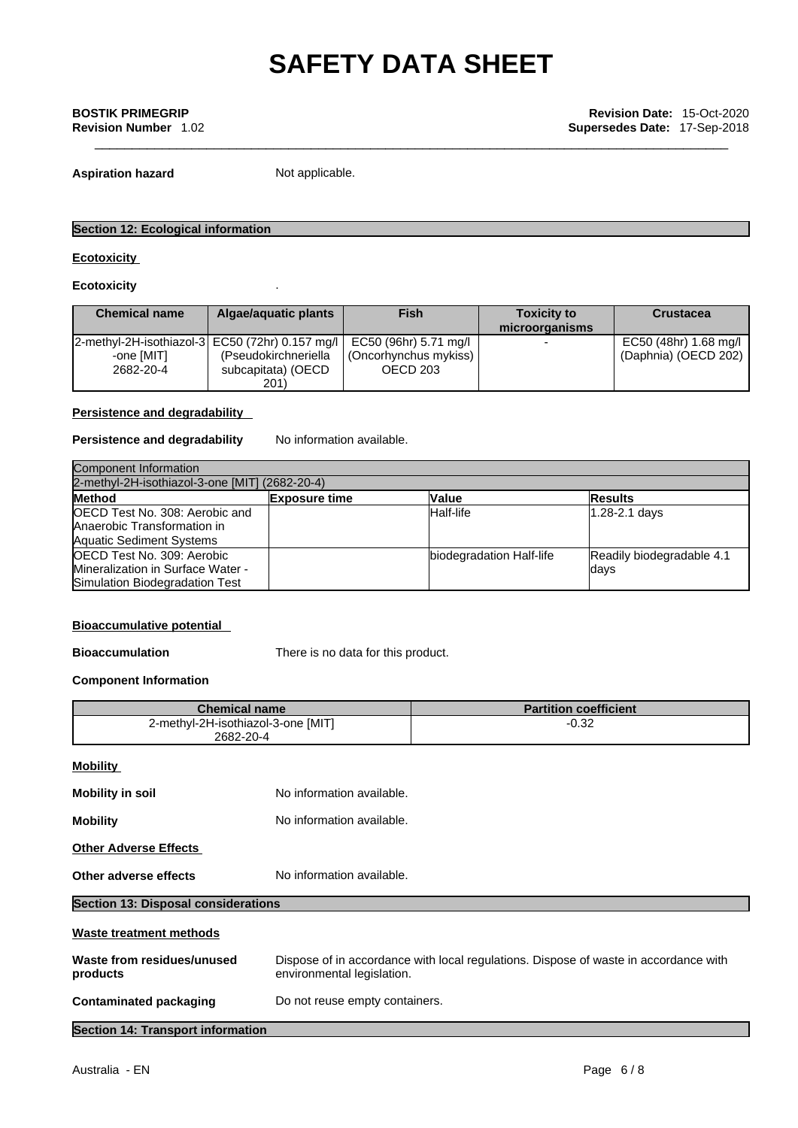**Aspiration hazard** Not applicable.

### **Section 12: Ecological information**

### **Ecotoxicity**

**Ecotoxicity** .

| <b>Chemical name</b> | Algae/aguatic plants                                | <b>Fish</b>             | <b>Toxicity to</b> | <b>Crustacea</b>      |
|----------------------|-----------------------------------------------------|-------------------------|--------------------|-----------------------|
|                      |                                                     |                         | microorganisms     |                       |
|                      | $ 2$ -methyl-2H-isothiazol-3 EC50 (72hr) 0.157 mg/l | i EC50 (96hr) 5.71 mg/l |                    | EC50 (48hr) 1.68 mg/l |
| -one [MIT]           | (Pseudokirchneriella                                | (Oncorhynchus mykiss)   |                    | (Daphnia) (OECD 202)  |
| 2682-20-4            | subcapitata) (OECD                                  | OECD 203                |                    |                       |
|                      | 201)                                                |                         |                    |                       |

### **Persistence and degradability**

### **Persistence and degradability** No information available.

| Component Information                                                                                   |                      |                          |                                    |  |
|---------------------------------------------------------------------------------------------------------|----------------------|--------------------------|------------------------------------|--|
| 2-methyl-2H-isothiazol-3-one [MIT] (2682-20-4)                                                          |                      |                          |                                    |  |
| <b>Method</b>                                                                                           | <b>Exposure time</b> | <b>Value</b>             | <b>Results</b>                     |  |
| <b>OECD Test No. 308: Aerobic and</b><br>Anaerobic Transformation in<br><b>Aquatic Sediment Systems</b> |                      | Half-life                | $1.28 - 2.1$ days                  |  |
| OECD Test No. 309: Aerobic<br>Mineralization in Surface Water -<br>Simulation Biodegradation Test       |                      | biodegradation Half-life | Readily biodegradable 4.1<br>ldays |  |

### **Bioaccumulative potential**

**Bioaccumulation** There is no data for this product.

### **Component Information**

| <b>Chemical name</b>                            |                                | <b>Partition coefficient</b>                                                                                       |  |  |
|-------------------------------------------------|--------------------------------|--------------------------------------------------------------------------------------------------------------------|--|--|
| 2-methyl-2H-isothiazol-3-one [MIT]<br>2682-20-4 |                                | $-0.32$                                                                                                            |  |  |
| <b>Mobility</b>                                 |                                |                                                                                                                    |  |  |
| <b>Mobility in soil</b>                         | No information available.      |                                                                                                                    |  |  |
| <b>Mobility</b>                                 | No information available.      |                                                                                                                    |  |  |
| <b>Other Adverse Effects</b>                    |                                |                                                                                                                    |  |  |
| Other adverse effects                           | No information available.      |                                                                                                                    |  |  |
| <b>Section 13: Disposal considerations</b>      |                                |                                                                                                                    |  |  |
| <b>Waste treatment methods</b>                  |                                |                                                                                                                    |  |  |
| Waste from residues/unused<br>products          |                                | Dispose of in accordance with local regulations. Dispose of waste in accordance with<br>environmental legislation. |  |  |
| <b>Contaminated packaging</b>                   | Do not reuse empty containers. |                                                                                                                    |  |  |
|                                                 |                                |                                                                                                                    |  |  |

**Section 14: Transport information**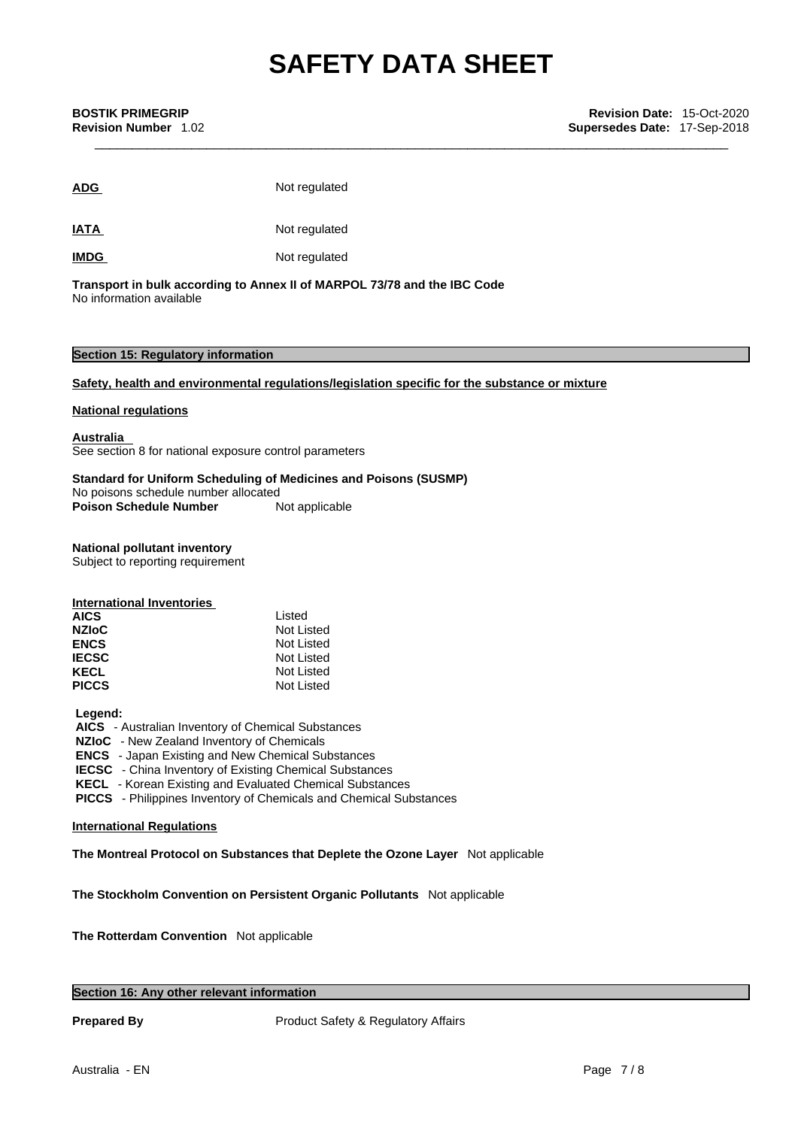| <b>ADG</b>  | Not regulated |
|-------------|---------------|
| <b>IATA</b> | Not regulated |
| <b>IMDG</b> | Not regulated |

**Transport in bulk according to Annex II ofMARPOL 73/78 and the IBC Code** No information available

### **Section 15: Regulatory information**

### **Safety, health and environmental regulations/legislation specific for the substance or mixture**

### **National regulations**

**Australia**  See section 8 for national exposure control parameters

### **Standard for Uniform Scheduling of Medicines and Poisons (SUSMP)**

No poisons schedule number allocated

**Poison Schedule Number** Not applicable

## **National pollutant inventory**

Subject to reporting requirement

| International Inventories |            |
|---------------------------|------------|
| <b>AICS</b>               | Listed     |
| <b>NZIOC</b>              | Not Listed |
| <b>ENCS</b>               | Not Listed |
| <b>IECSC</b>              | Not Listed |
| <b>KECL</b>               | Not Listed |
| <b>PICCS</b>              | Not Listed |

### **Legend:**

 **AICS** - Australian Inventory of Chemical Substances

 **NZIoC** - New Zealand Inventory of Chemicals

 **ENCS** - Japan Existing and New Chemical Substances

 **IECSC** - China Inventory of Existing Chemical Substances

 **KECL** - Korean Existing and Evaluated Chemical Substances

 **PICCS** - Philippines Inventory of Chemicals and Chemical Substances

### **International Regulations**

**The Montreal Protocol on Substances that Deplete the Ozone Layer** Not applicable

**The Stockholm Convention on Persistent Organic Pollutants** Not applicable

**The Rotterdam Convention** Not applicable

### **Section 16: Any other relevant information**

**Prepared By Product Safety & Regulatory Affairs**